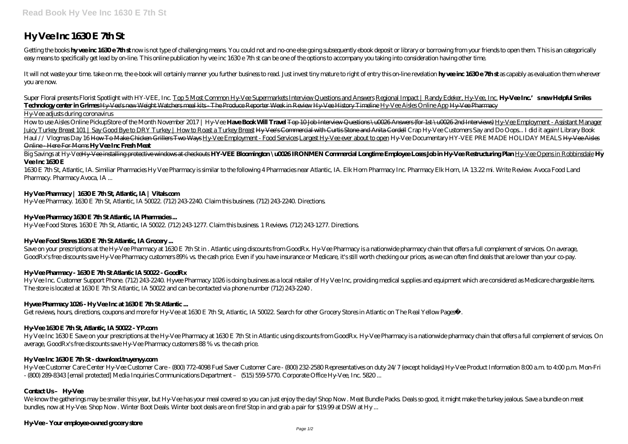# **Hy Vee Inc 1630 E 7th St**

Getting the books hyvee inc 1630e 7thst now is not type of challenging means You could not and no one else going subsequently ebook deposit or library or borrowing from your friends to open them. This is an categorically easy means to specifically get lead by on-line. This online publication hy vee inc 1630 e 7th st can be one of the options to accompany you taking into consideration having other time.

It will not waste your time, take on me, the e-book will certainly manner you further business to read. Just invest tiny mature to right of entry this on-line revelation **hyveeinc 1630e 7thst** as capably as evaluation them you are now.

How to use Aisles Online Pickup*Store of the Month November 2017 | Hy-Vee* **Have Book Will Travel** Top 10 Job Interview Questions \u0026 Answers (for 1st \u0026 2nd Interviews) Hy-Vee Employment - Assistant Manager Juicy Turkey Breast 101 | Say Good Bye to DRY Turkey | How to Roast a Turkey Breast Hy Vee's Commercial with Curtis Stone and Anita Cordell *Crap Hy-Vee Customers Say and Do Oops... I did it again! Library Book Haul // Vlogmas Day 16* How To Make Chicken Grillers Two Ways Hy-Vee Employment - Food Services Largest Hy-Vee ever about to open *Hy-Vee Documentary HY-VEE PRE MADE HOLIDAY MEALS* Hy-Vee Aisles Online - Here For Moms **Hy Vee Inc Fresh Meat**

*Super Floral presents Florist Spotlight with HY-VEE, Inc.* Top 5 Most Common Hy-Vee Supermarkets Interview Questions and Answers Regional Impact | Randy Edeker, Hy-Vee, Inc. **Hy-Vee Inc.'s new Helpful Smiles Technology center in Grimes** Hy-Vee's new Weight Watchers meal kits - The Produce Reporter Week in Review Hy-Vee History Timeline Hy-Vee Aisles Online App Hy-Vee Pharmacy Hy-Vee adjusts during coronavirus

Big Savings at Hy-Vee<del>Hy-Vee installing protective windows at checkouts</del> **HY-VEE Bloomington \u0026 IRONMEN Commercial Longtime Employee Loses Job in Hy-Vee Restructuring Plan Hy-Vee Opens in Robbinsdale Hy Vee Inc 1630 E**

Save on your prescriptions at the Hy-Vee Pharmacy at 1630 E 7th St in . Atlantic using discounts from GoodRx. Hy-Vee Pharmacy is a nationwide pharmacy chain that offers a full complement of services. On average, GoodRx's free discounts save Hy-Vee Pharmacy customers 89% vs. the cash price. Even if you have insurance or Medicare, it's still worth checking our prices, as we can often find deals that are lower than your co-pay.

# **HyVee Pharmacy - 1630 E 7th St Atlantic IA 50022 - GoodRx**

Hy Vee Inc. Customer Support Phone. (712) 243-2240. Hyvee Pharmacy 1026 is doing business as a local retailer of Hy Vee Inc, providing medical supplies and equipment which are considered as Medicare chargeable items. The store is located at 1630 E 7th St Atlantic, IA 50022 and can be contacted via phone number (712) 243-2240.

# **Hyvee Pharmacy 1026 - Hy Vee Inc at 1630 E 7th St Atlantic...**

Get reviews, hours, directions, coupons and more for Hy-Vee at 1630 E 7th St, Atlantic, IA 50022. Search for other Grocery Stores in Atlantic on The Real Yellow Pages®.

# **Hy-Vee 1630E 7th St, Atlantic, IA 50022 - YP.com**

1630 E 7th St, Atlantic, IA. Similiar Pharmacies Hy Vee Pharmacy is similar to the following 4 Pharmacies near Atlantic, IA. Elk Horn Pharmacy Inc. Pharmacy Elk Horn, IA 13.22 mi. Write Review. Avoca Food Land Pharmacy. Pharmacy Avoca, IA ...

# **Hy Vee Pharmacy | 1630 E 7th St, Atlantic, IA | Vitals.com**

Hy-Vee Pharmacy. 1630 E 7th St, Atlantic, IA 50022. (712) 243-2240. Claim this business. (712) 243-2240. Directions.

# **Hy-Vee Pharmacy 1630 E 7th St Atlantic, IA Pharmacies...**

Hy-Vee Food Stores. 1630 E 7th St, Atlantic, IA 50022. (712) 243-1277. Claim this business. 1 Reviews. (712) 243-1277. Directions.

# **Hy-Vee Food Stores 1630 E 7th St Atlantic, IA Grocery...**

Hy-Vee Customer Care Center Hy-Vee Customer Care - (800) 772-4098 Fuel Saver Customer Care - (800) 232-2580 Representatives on duty 24/7 (except holidays) Hy-Vee Product Information 8:00 a.m. to 4:00 p.m. Mon-Fri - (800) 289-8343 [email protected] Media Inquiries Communications Department – (515) 559-5770. Corporate Office Hy-Vee, Inc. 5820 ...

# Contact Us- Hy Vee

Hy Vee Inc 1630 E Save on your prescriptions at the Hy-Vee Pharmacy at 1630 E 7th St in Atlantic using discounts from GoodRx. Hy-Vee Pharmacy is a nationwide pharmacy chain that offers a full complement of services. On average, GoodRx's free discounts save Hy-Vee Pharmacy customers 88 % vs. the cash price.

# **Hy Vee Inc 1630 E 7th St - download truyeryy.com**

We know the gatherings may be smaller this year, but Hy-Vee has your meal covered so you can just enjoy the day! Shop Now . Meat Bundle Packs. Deals so good, it might make the turkey jealous. Save a bundle on meat bundles, now at Hy-Vee. Shop Now . Winter Boot Deals. Winter boot deals are on fire! Stop in and grab a pair for \$19.99 at DSW at Hy ...

# **Hy-Vee - Your employee-owned grocery store**